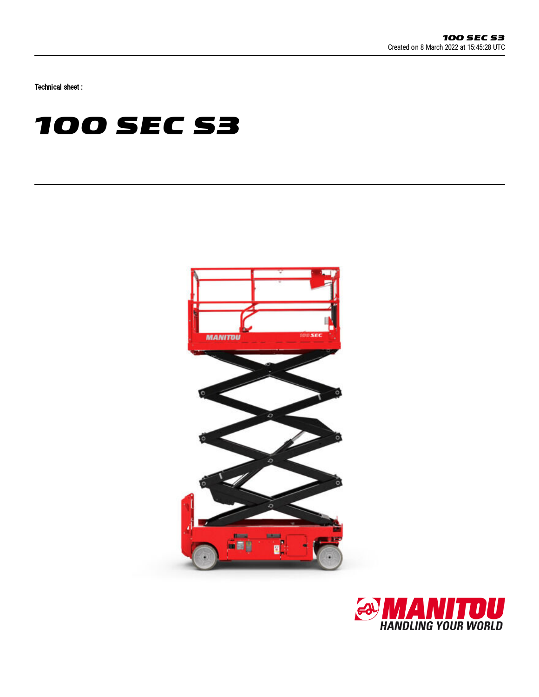Technical sheet :

# **100 SEC S3**



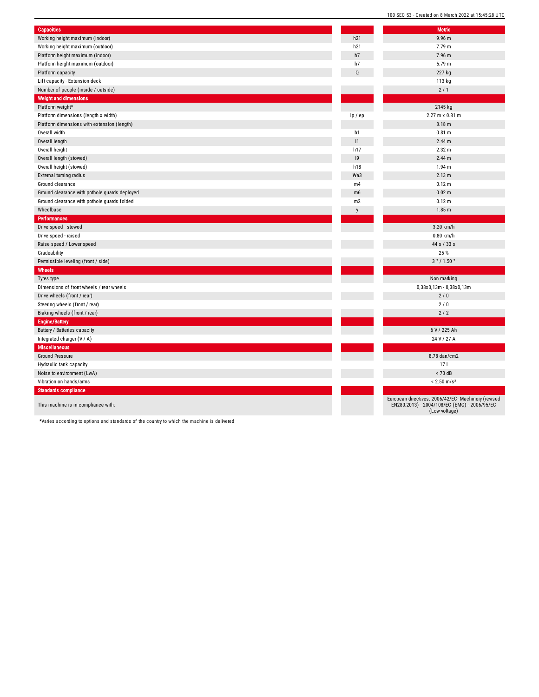| <b>Capacities</b>                             |              | <b>Metric</b>                                                                |
|-----------------------------------------------|--------------|------------------------------------------------------------------------------|
| Working height maximum (indoor)               | h21          | 9.96 m                                                                       |
| Working height maximum (outdoor)              | h21          | 7.79 m                                                                       |
| Platform height maximum (indoor)              | h7           | 7.96 m                                                                       |
| Platform height maximum (outdoor)             | h7           | 5.79 m                                                                       |
| Platform capacity                             | Q            | 227 kg                                                                       |
| Lift capacity - Extension deck                |              | 113 kg                                                                       |
| Number of people (inside / outside)           |              | 2/1                                                                          |
| <b>Weight and dimensions</b>                  |              |                                                                              |
| Platform weight*                              |              | 2145 kg                                                                      |
| Platform dimensions (length x width)          | lp / ep      | 2.27 m x 0.81 m                                                              |
| Platform dimensions with extension (length)   |              | 3.18 <sub>m</sub>                                                            |
| Overall width                                 | b1           | 0.81 m                                                                       |
| Overall length                                | 1            | 2.44 m                                                                       |
| Overall height                                | h17          | 2.32 m                                                                       |
| Overall length (stowed)                       | 9            | 2.44 <sub>m</sub>                                                            |
| Overall height (stowed)                       | h18          | 1.94 <sub>m</sub>                                                            |
| <b>External turning radius</b>                | Wa3          | 2.13 m                                                                       |
| Ground clearance                              | m4           | 0.12 m                                                                       |
| Ground clearance with pothole guards deployed | m6           | 0.02 m                                                                       |
| Ground clearance with pothole guards folded   | m2           | 0.12 m                                                                       |
| Wheelbase                                     | $\mathsf{V}$ | 1.85 <sub>m</sub>                                                            |
| <b>Performances</b>                           |              |                                                                              |
| Drive speed - stowed                          |              | 3.20 km/h                                                                    |
| Drive speed - raised                          |              | $0.80$ km/h                                                                  |
| Raise speed / Lower speed                     |              | 44 s / 33 s                                                                  |
| Gradeability                                  |              | 25 %                                                                         |
| Permissible leveling (front / side)           |              | 3°/1.50°                                                                     |
| <b>Wheels</b>                                 |              |                                                                              |
| Tyres type                                    |              | Non marking                                                                  |
| Dimensions of front wheels / rear wheels      |              | 0,38x0,13m - 0,38x0,13m                                                      |
| Drive wheels (front / rear)                   |              | 2/0                                                                          |
| Steering wheels (front / rear)                |              | 2/0                                                                          |
| Braking wheels (front / rear)                 |              | 2/2                                                                          |
| <b>Engine/Battery</b>                         |              |                                                                              |
| Battery / Batteries capacity                  |              | 6 V / 225 Ah                                                                 |
| Integrated charger (V / A)                    |              | 24 V / 27 A                                                                  |
| <b>Miscellaneous</b>                          |              |                                                                              |
| <b>Ground Pressure</b>                        |              | 8.78 dan/cm2                                                                 |
| Hydraulic tank capacity                       |              | 17 <sub>1</sub>                                                              |
| Noise to environment (LwA)                    |              | $< 70$ dB                                                                    |
| Vibration on hands/arms                       |              | $< 2.50$ m/s <sup>2</sup>                                                    |
| <b>Standards compliance</b>                   |              |                                                                              |
| This machine is in compliance with:           |              | European directives: 2006/42/EC- Mach<br>EN280:2013) - 2004/108/EC (EMC) - 2 |

100 SEC S3 - Created on 8 March 2022 at 15:45:28 UTC

European directives: 2006/42/EC- Machinery (revised EN280:2013) - 2004/108/EC (EMC) - 2006/95/EC (Low voltage)

\*Varies according to options and standards of the country to which the machine is delivered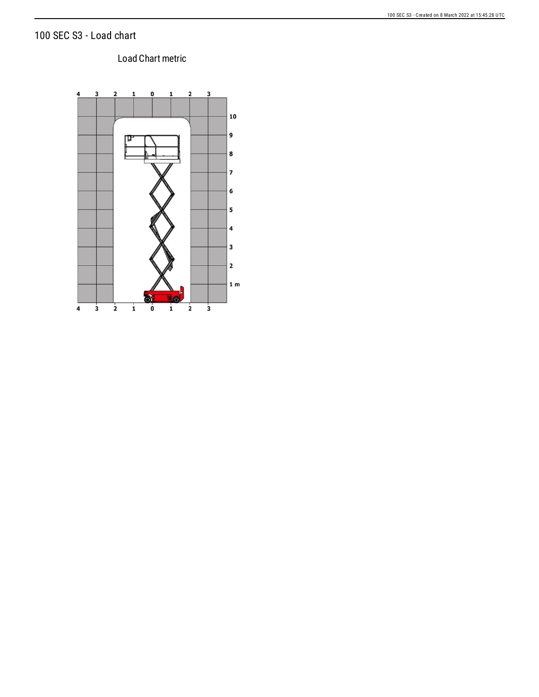## 100 SEC S3 - Load chart

### Load Chart metric

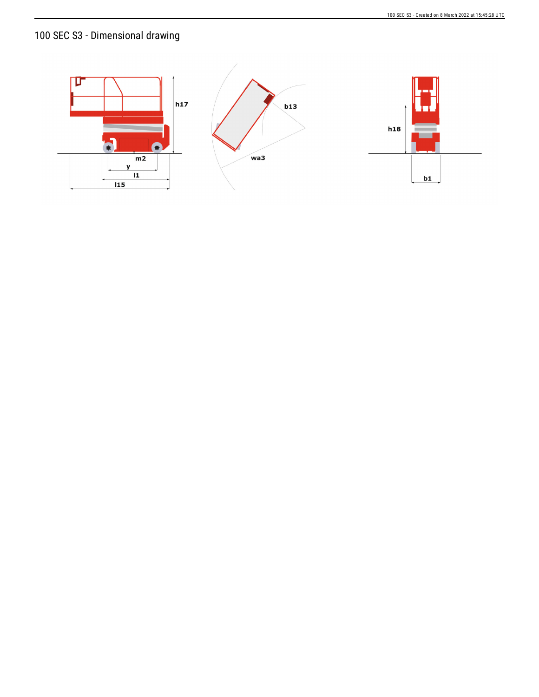# 100 SEC S3 - Dimensional drawing

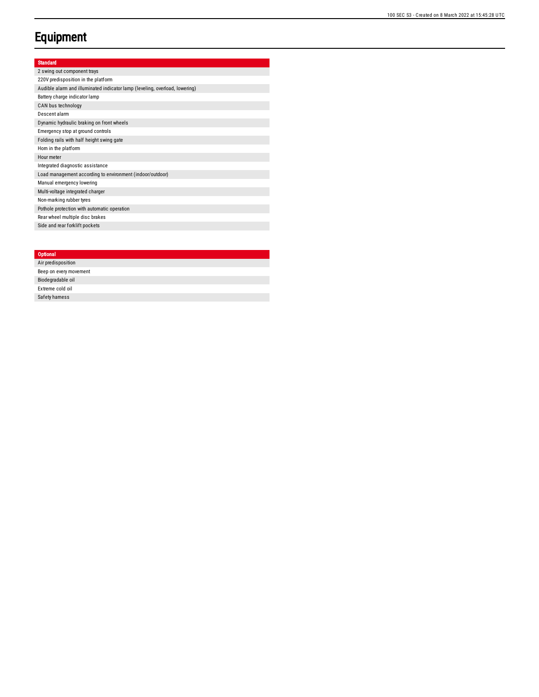# **Equipment**

#### Standard

2 swing out component trays 220V predisposition in the platform Audible alarm and illuminated indicator lamp (leveling, overload, lowering) Battery charge indicator lamp CAN bus technology Descent alarm Dynamic hydraulic braking on front wheels Emergency stop at ground controls Folding rails with half height swing gate Hom in the platform Hour meter Integrated diagnostic assistance Load management according to environment (indoor/outdoor) Manual emergency lowering Multi-voltage integrated charger Non-marking rubber tyres Pothole protection with automatic operation Rear wheel multiple disc brakes Side and rear forklift pockets

### **Optional** Air predis p o sitio n Beep on every movement Biodegradable oil Extreme cold oil Safety harness